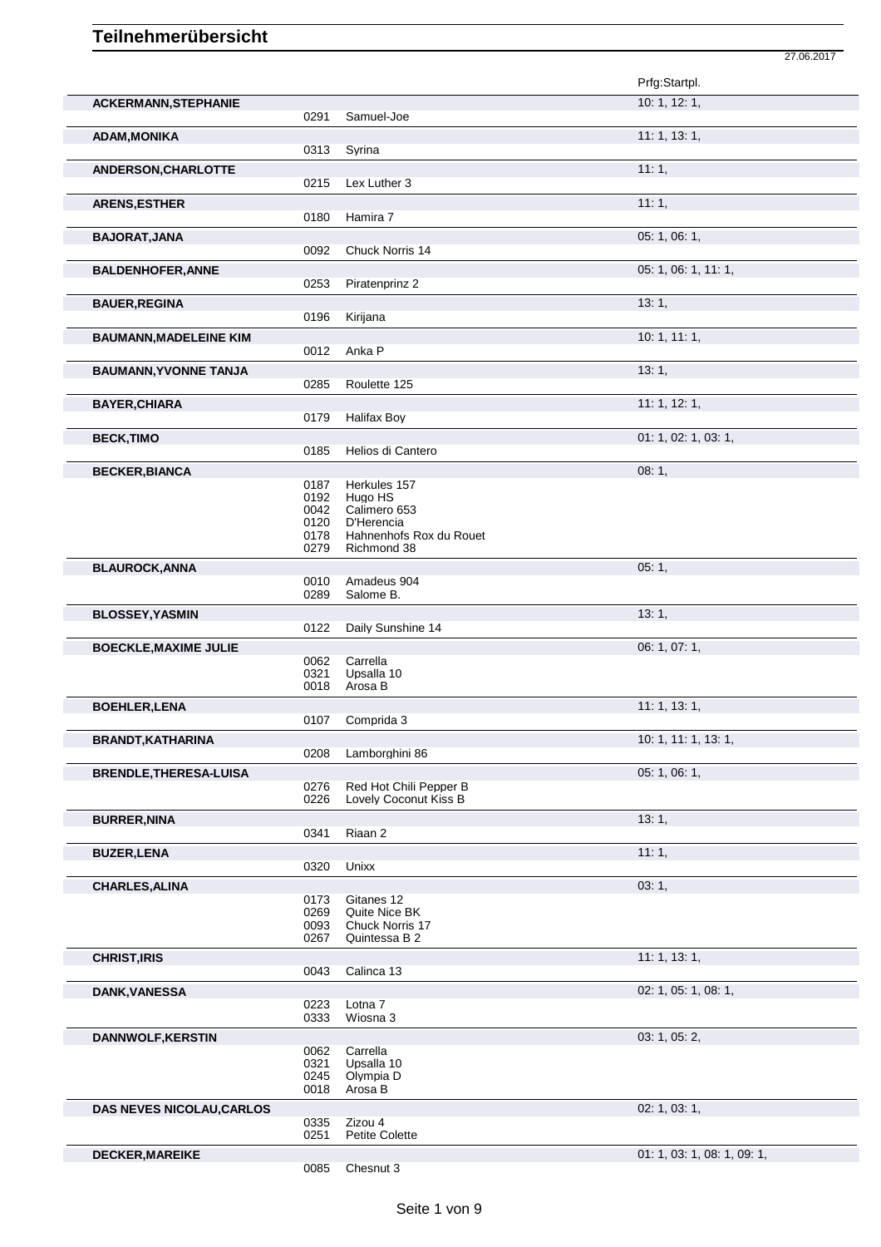|                                  |                                      |                                                                                  | Prfg:Startpl.               |
|----------------------------------|--------------------------------------|----------------------------------------------------------------------------------|-----------------------------|
| <b>ACKERMANN, STEPHANIE</b>      | 0291                                 | Samuel-Joe                                                                       | 10: 1, 12: 1,               |
| <b>ADAM, MONIKA</b>              | 0313                                 | Syrina                                                                           | 11: 1, 13: 1,               |
| ANDERSON, CHARLOTTE              | 0215                                 | Lex Luther 3                                                                     | 11:1,                       |
| <b>ARENS, ESTHER</b>             |                                      |                                                                                  | 11:1,                       |
| <b>BAJORAT, JANA</b>             | 0180                                 | Hamira 7                                                                         | 05: 1, 06: 1,               |
| <b>BALDENHOFER, ANNE</b>         | 0092                                 | Chuck Norris 14                                                                  | 05: 1, 06: 1, 11: 1,        |
|                                  | 0253                                 | Piratenprinz 2                                                                   |                             |
| <b>BAUER, REGINA</b>             | 0196                                 | Kirijana                                                                         | 13:1,                       |
| <b>BAUMANN, MADELEINE KIM</b>    | 0012                                 | Anka P                                                                           | 10: 1, 11: 1,               |
| <b>BAUMANN, YVONNE TANJA</b>     | 0285                                 | Roulette 125                                                                     | 13:1,                       |
| <b>BAYER, CHIARA</b>             |                                      |                                                                                  | 11: 1, 12: 1,               |
| <b>BECK,TIMO</b>                 | 0179                                 | <b>Halifax Boy</b>                                                               | 01: 1, 02: 1, 03: 1,        |
|                                  | 0185                                 | Helios di Cantero                                                                | 08:1,                       |
| <b>BECKER, BIANCA</b>            | 0187<br>0192<br>0042<br>0120<br>0178 | Herkules 157<br>Hugo HS<br>Calimero 653<br>D'Herencia<br>Hahnenhofs Rox du Rouet |                             |
| <b>BLAUROCK, ANNA</b>            | 0279                                 | Richmond 38                                                                      | 05:1,                       |
|                                  | 0010<br>0289                         | Amadeus 904<br>Salome B.                                                         |                             |
| <b>BLOSSEY, YASMIN</b>           | 0122                                 | Daily Sunshine 14                                                                | 13:1,                       |
| <b>BOECKLE, MAXIME JULIE</b>     | 0062<br>0321<br>0018                 | Carrella<br>Upsalla 10<br>Arosa B                                                | 06: 1, 07: 1,               |
| <b>BOEHLER, LENA</b>             | 0107                                 | Comprida 3                                                                       | 11: 1, 13: 1,               |
| <b>BRANDT, KATHARINA</b>         |                                      |                                                                                  | 10: 1, 11: 1, 13: 1,        |
| <b>BRENDLE, THERESA-LUISA</b>    | 0208<br>0276                         | Lamborghini 86<br>Red Hot Chili Pepper B                                         | 05: 1, 06: 1,               |
| <b>BURRER, NINA</b>              | 0226                                 | Lovely Coconut Kiss B                                                            | 13:1,                       |
| <b>BUZER, LENA</b>               | 0341                                 | Riaan 2                                                                          | 11:1,                       |
|                                  | 0320                                 | Unixx                                                                            |                             |
| <b>CHARLES, ALINA</b>            | 0173<br>0269<br>0093<br>0267         | Gitanes 12<br>Quite Nice BK<br>Chuck Norris 17<br>Quintessa B 2                  | 03:1,                       |
| <b>CHRIST, IRIS</b>              | 0043                                 | Calinca 13                                                                       | 11: 1, 13: 1,               |
| <b>DANK, VANESSA</b>             | 0223                                 | Lotna <sub>7</sub>                                                               | 02: 1, 05: 1, 08: 1,        |
| <b>DANNWOLF, KERSTIN</b>         | 0333<br>0062<br>0321<br>0245<br>0018 | Wiosna 3<br>Carrella<br>Upsalla 10<br>Olympia D<br>Arosa B                       | 03: 1, 05: 2,               |
| <b>DAS NEVES NICOLAU, CARLOS</b> | 0335<br>0251                         | Zizou 4<br><b>Petite Colette</b>                                                 | 02: 1, 03: 1,               |
| <b>DECKER, MAREIKE</b>           |                                      |                                                                                  | 01: 1, 03: 1, 08: 1, 09: 1, |

27.06.2017

0085 Chesnut 3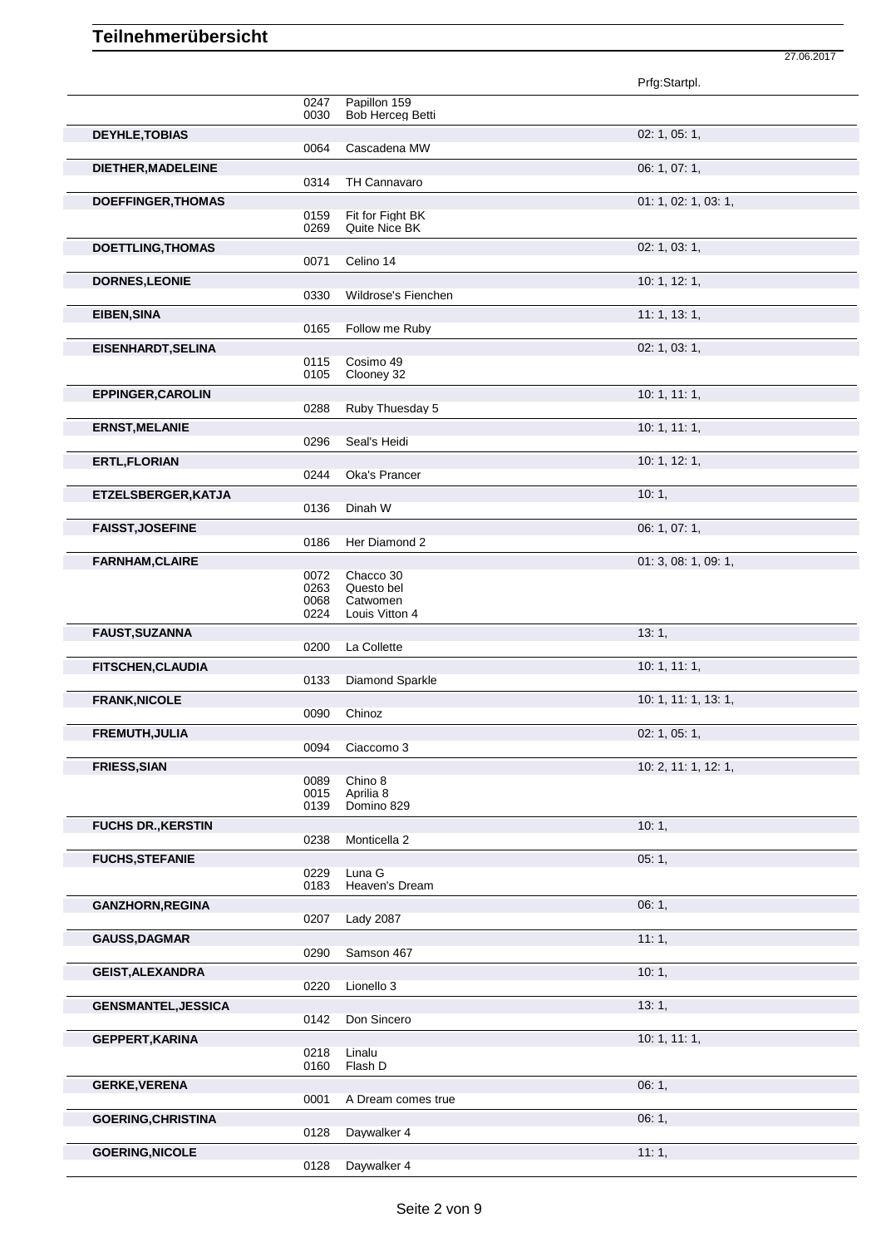|                            |              |                                  | Prfg:Startpl.        |
|----------------------------|--------------|----------------------------------|----------------------|
|                            | 0247<br>0030 | Papillon 159<br>Bob Herceg Betti |                      |
| <b>DEYHLE, TOBIAS</b>      |              |                                  | 02: 1, 05: 1,        |
|                            | 0064         | Cascadena MW                     |                      |
| DIETHER, MADELEINE         |              |                                  | 06: 1, 07: 1,        |
| <b>DOEFFINGER, THOMAS</b>  | 0314         | TH Cannavaro                     | 01: 1, 02: 1, 03: 1, |
|                            | 0159         | Fit for Fight BK                 |                      |
|                            | 0269         | Quite Nice BK                    |                      |
| <b>DOETTLING, THOMAS</b>   | 0071         | Celino 14                        | 02: 1, 03: 1,        |
| <b>DORNES, LEONIE</b>      |              |                                  | 10: 1, 12: 1,        |
|                            | 0330         | Wildrose's Fienchen              |                      |
| <b>EIBEN, SINA</b>         | 0165         | Follow me Ruby                   | 11: 1, 13: 1,        |
| <b>EISENHARDT, SELINA</b>  |              |                                  | 02: 1, 03: 1,        |
|                            | 0115         | Cosimo 49                        |                      |
|                            | 0105         | Clooney 32                       | 10: 1, 11: 1,        |
| <b>EPPINGER, CAROLIN</b>   | 0288         | Ruby Thuesday 5                  |                      |
| <b>ERNST, MELANIE</b>      |              |                                  | 10: 1, 11: 1,        |
|                            | 0296         | Seal's Heidi                     |                      |
| <b>ERTL, FLORIAN</b>       | 0244         | Oka's Prancer                    | 10: 1, 12: 1,        |
| ETZELSBERGER, KATJA        |              |                                  | 10:1,                |
|                            | 0136         | Dinah W                          |                      |
| <b>FAISST, JOSEFINE</b>    | 0186         | Her Diamond 2                    | 06: 1, 07: 1,        |
| <b>FARNHAM, CLAIRE</b>     |              |                                  | 01: 3, 08: 1, 09: 1, |
|                            | 0072         | Chacco 30                        |                      |
|                            | 0263<br>0068 | Questo bel<br>Catwomen           |                      |
|                            | 0224         | Louis Vitton 4                   |                      |
|                            |              |                                  |                      |
| FAUST, SUZANNA             | 0200         | La Collette                      | 13:1,                |
| FITSCHEN, CLAUDIA          |              |                                  | 10: 1, 11: 1,        |
|                            | 0133         | Diamond Sparkle                  |                      |
| <b>FRANK, NICOLE</b>       | 0090         |                                  | 10: 1, 11: 1, 13: 1, |
| FREMUTH, JULIA             |              | Chinoz                           | 02: 1, 05: 1,        |
|                            | 0094         | Ciaccomo 3                       |                      |
| <b>FRIESS, SIAN</b>        |              |                                  | 10: 2, 11: 1, 12: 1, |
|                            | 0089<br>0015 | Chino 8<br>Aprilia 8             |                      |
|                            | 0139         | Domino 829                       |                      |
| <b>FUCHS DR., KERSTIN</b>  | 0238         | Monticella 2                     | 10:1,                |
| <b>FUCHS, STEFANIE</b>     |              |                                  | 05:1,                |
|                            | 0229<br>0183 | Luna G<br>Heaven's Dream         |                      |
| <b>GANZHORN, REGINA</b>    |              |                                  | 06:1,                |
|                            | 0207         | <b>Lady 2087</b>                 |                      |
| <b>GAUSS, DAGMAR</b>       |              |                                  | 11:1,                |
| <b>GEIST, ALEXANDRA</b>    | 0290         | Samson 467                       | 10:1,                |
|                            | 0220         | Lionello 3                       |                      |
| <b>GENSMANTEL, JESSICA</b> |              |                                  | 13:1,                |
|                            | 0142         | Don Sincero                      |                      |
| <b>GEPPERT, KARINA</b>     | 0218         | Linalu                           | 10: 1, 11: 1,        |
|                            | 0160         | Flash D                          |                      |
| <b>GERKE, VERENA</b>       | 0001         | A Dream comes true               | 06:1,                |
| <b>GOERING, CHRISTINA</b>  |              |                                  | 06:1,                |
| <b>GOERING, NICOLE</b>     | 0128         | Daywalker 4                      | 11:1,                |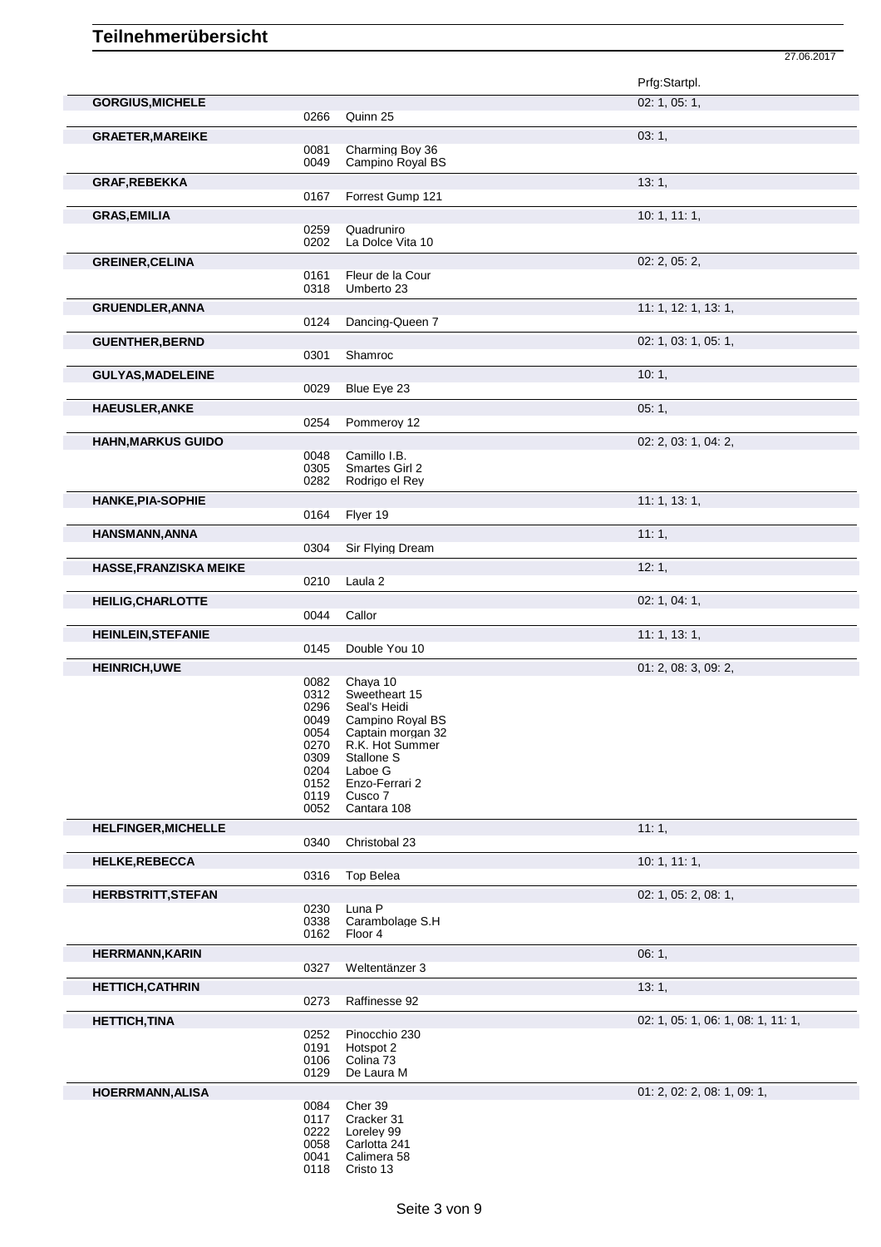|                               |              |                                      | Prfg:Startpl.                      |
|-------------------------------|--------------|--------------------------------------|------------------------------------|
| <b>GORGIUS, MICHELE</b>       |              |                                      | 02: 1, 05: 1,                      |
|                               | 0266         | Quinn 25                             |                                    |
| <b>GRAETER, MAREIKE</b>       |              |                                      | 03:1,                              |
|                               | 0081         | Charming Boy 36                      |                                    |
|                               | 0049         | Campino Royal BS                     |                                    |
| <b>GRAF, REBEKKA</b>          |              |                                      | 13:1,                              |
|                               | 0167         | Forrest Gump 121                     |                                    |
| <b>GRAS, EMILIA</b>           |              |                                      | 10: 1, 11: 1,                      |
|                               | 0259         | Quadruniro                           |                                    |
|                               | 0202         | La Dolce Vita 10                     |                                    |
| <b>GREINER, CELINA</b>        |              |                                      | 02: 2, 05: 2,                      |
|                               | 0161<br>0318 | Fleur de la Cour<br>Umberto 23       |                                    |
|                               |              |                                      |                                    |
| <b>GRUENDLER, ANNA</b>        | 0124         | Dancing-Queen 7                      | 11: 1, 12: 1, 13: 1,               |
|                               |              |                                      |                                    |
| <b>GUENTHER, BERND</b>        |              |                                      | 02: 1, 03: 1, 05: 1,               |
|                               | 0301         | Shamroc                              |                                    |
| <b>GULYAS, MADELEINE</b>      |              |                                      | 10:1,                              |
|                               | 0029         | Blue Eye 23                          |                                    |
| <b>HAEUSLER, ANKE</b>         |              |                                      | 05:1,                              |
|                               | 0254         | Pommeroy 12                          |                                    |
| <b>HAHN, MARKUS GUIDO</b>     |              |                                      | 02: 2, 03: 1, 04: 2,               |
|                               | 0048<br>0305 | Camillo I.B.<br>Smartes Girl 2       |                                    |
|                               | 0282         | Rodrigo el Rev                       |                                    |
| <b>HANKE, PIA-SOPHIE</b>      |              |                                      | 11: 1, 13: 1,                      |
|                               | 0164         | Flyer 19                             |                                    |
| <b>HANSMANN, ANNA</b>         |              |                                      | 11:1,                              |
|                               | 0304         | Sir Flying Dream                     |                                    |
| <b>HASSE, FRANZISKA MEIKE</b> |              |                                      | 12:1,                              |
|                               | 0210         | Laula <sub>2</sub>                   |                                    |
|                               |              |                                      |                                    |
| <b>HEILIG, CHARLOTTE</b>      | 0044         | Callor                               | 02: 1, 04: 1,                      |
|                               |              |                                      |                                    |
| <b>HEINLEIN, STEFANIE</b>     | 0145         | Double You 10                        | 11: 1, 13: 1,                      |
|                               |              |                                      |                                    |
| <b>HEINRICH, UWE</b>          | 0082         | Chaya 10                             | 01: 2, 08: 3, 09: 2,               |
|                               | 0312         | Sweetheart 15                        |                                    |
|                               | 0296         | Seal's Heidi                         |                                    |
|                               | 0049         | Campino Royal BS                     |                                    |
|                               | 0054<br>0270 | Captain morgan 32<br>R.K. Hot Summer |                                    |
|                               | 0309         | Stallone S                           |                                    |
|                               | 0204         | Laboe G                              |                                    |
|                               | 0152         | Enzo-Ferrari 2                       |                                    |
|                               | 0119<br>0052 | Cusco 7<br>Cantara 108               |                                    |
|                               |              |                                      |                                    |
| <b>HELFINGER, MICHELLE</b>    | 0340         | Christobal 23                        | 11:1,                              |
|                               |              |                                      |                                    |
| <b>HELKE, REBECCA</b>         | 0316         | <b>Top Belea</b>                     | 10: 1, 11: 1,                      |
|                               |              |                                      |                                    |
| <b>HERBSTRITT, STEFAN</b>     | 0230         | Luna P                               | 02: 1, 05: 2, 08: 1,               |
|                               | 0338         | Carambolage S.H                      |                                    |
|                               | 0162         | Floor 4                              |                                    |
| <b>HERRMANN, KARIN</b>        |              |                                      | 06:1,                              |
|                               | 0327         | Weltentänzer 3                       |                                    |
| <b>HETTICH, CATHRIN</b>       |              |                                      | 13:1,                              |
|                               | 0273         | Raffinesse 92                        |                                    |
| <b>HETTICH, TINA</b>          |              |                                      | 02: 1, 05: 1, 06: 1, 08: 1, 11: 1, |
|                               | 0252         | Pinocchio 230                        |                                    |
|                               | 0191         | Hotspot 2                            |                                    |
|                               | 0106         | Colina 73                            |                                    |
|                               | 0129         | De Laura M                           |                                    |
| <b>HOERRMANN, ALISA</b>       |              |                                      | 01: 2, 02: 2, 08: 1, 09: 1,        |
|                               | 0084<br>0117 | Cher 39<br>Cracker 31                |                                    |
|                               | 0222         | Loreley 99                           |                                    |
|                               | 0058         | Carlotta 241                         |                                    |
|                               | 0041         | Calimera 58                          |                                    |

27.06.2017

Cristo 13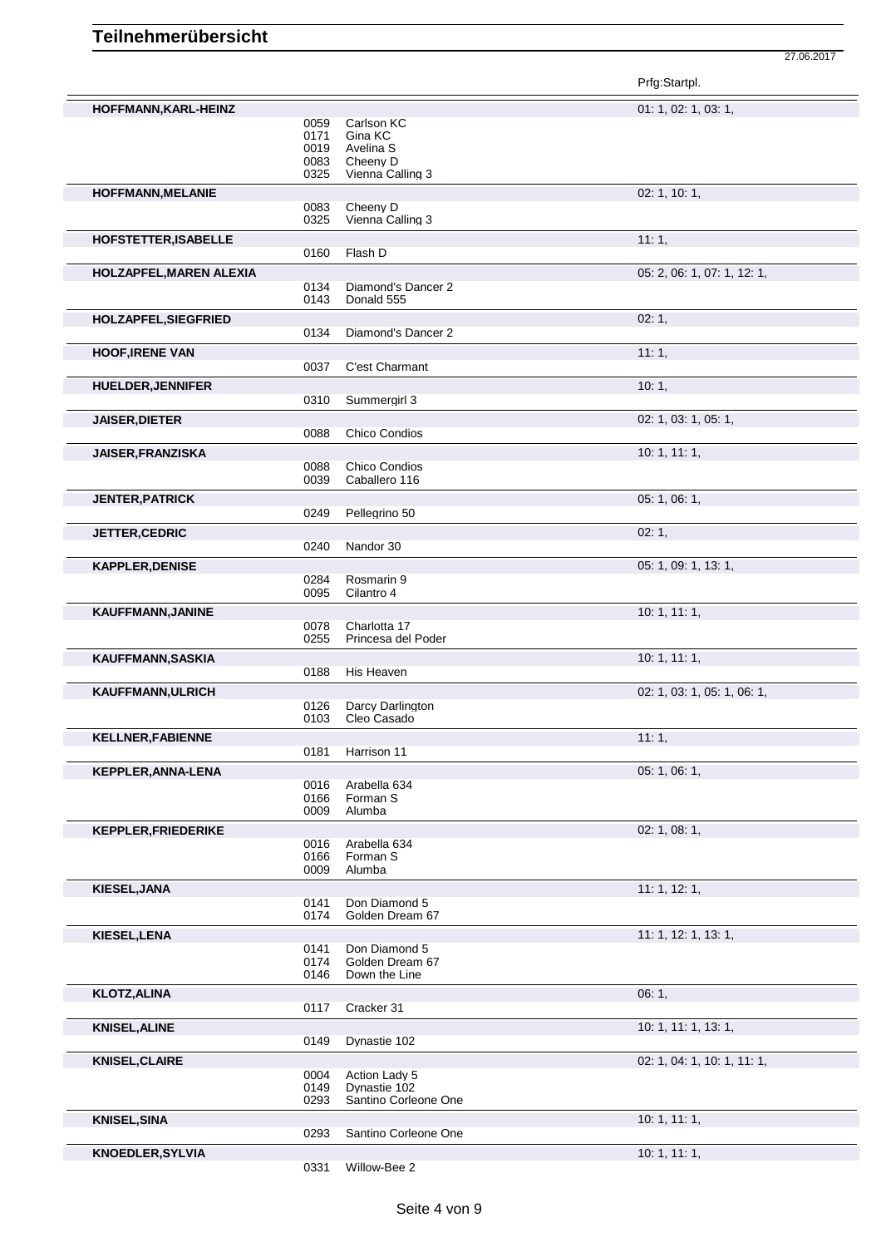|                            |              |                                       | Prfg:Startpl.               |
|----------------------------|--------------|---------------------------------------|-----------------------------|
| HOFFMANN, KARL-HEINZ       |              |                                       | 01: 1, 02: 1, 03: 1,        |
|                            | 0059         | Carlson KC                            |                             |
|                            | 0171<br>0019 | Gina KC                               |                             |
|                            | 0083         | Avelina S<br>Cheeny D                 |                             |
|                            | 0325         | Vienna Calling 3                      |                             |
| HOFFMANN, MELANIE          |              |                                       | 02: 1, 10: 1,               |
|                            | 0083         | Cheeny D                              |                             |
|                            | 0325         | Vienna Calling 3                      |                             |
| HOFSTETTER, ISABELLE       |              |                                       | 11:1,                       |
|                            | 0160         | Flash D                               |                             |
| HOLZAPFEL, MAREN ALEXIA    | 0134         | Diamond's Dancer 2                    | 05: 2, 06: 1, 07: 1, 12: 1, |
|                            | 0143         | Donald 555                            |                             |
| HOLZAPFEL, SIEGFRIED       |              |                                       | 02:1,                       |
|                            | 0134         | Diamond's Dancer 2                    |                             |
| <b>HOOF, IRENE VAN</b>     |              |                                       | 11:1,                       |
|                            | 0037         | C'est Charmant                        |                             |
| <b>HUELDER, JENNIFER</b>   |              |                                       | 10:1,                       |
|                            | 0310         | Summergirl 3                          |                             |
| <b>JAISER, DIETER</b>      |              |                                       | 02: 1, 03: 1, 05: 1,        |
|                            | 0088         | <b>Chico Condios</b>                  |                             |
| <b>JAISER, FRANZISKA</b>   |              |                                       | 10: 1, 11: 1,               |
|                            | 0088<br>0039 | <b>Chico Condios</b><br>Caballero 116 |                             |
| <b>JENTER, PATRICK</b>     |              |                                       | 05: 1, 06: 1,               |
|                            | 0249         | Pellegrino 50                         |                             |
| JETTER, CEDRIC             |              |                                       | 02:1,                       |
|                            | 0240         | Nandor 30                             |                             |
| <b>KAPPLER, DENISE</b>     |              |                                       | 05: 1, 09: 1, 13: 1,        |
|                            | 0284         | Rosmarin 9                            |                             |
|                            | 0095         | Cilantro 4                            |                             |
| KAUFFMANN, JANINE          |              |                                       | 10: 1, 11: 1,               |
|                            | 0078<br>0255 | Charlotta 17<br>Princesa del Poder    |                             |
| KAUFFMANN, SASKIA          |              |                                       | 10: 1, 11: 1,               |
|                            | 0188         | His Heaven                            |                             |
| KAUFFMANN, ULRICH          |              |                                       | 02: 1, 03: 1, 05: 1, 06: 1, |
|                            | 0126         | Darcy Darlington                      |                             |
|                            | 0103         | Cleo Casado                           |                             |
| <b>KELLNER, FABIENNE</b>   |              |                                       | 11:1,                       |
|                            | 0181         | Harrison 11                           |                             |
| <b>KEPPLER, ANNA-LENA</b>  | 0016         | Arabella 634                          | 05: 1, 06: 1,               |
|                            | 0166         | Forman S                              |                             |
|                            | 0009         | Alumba                                |                             |
| <b>KEPPLER, FRIEDERIKE</b> |              |                                       | 02: 1, 08: 1,               |
|                            | 0016<br>0166 | Arabella 634<br>Forman S              |                             |
|                            | 0009         | Alumba                                |                             |
| KIESEL, JANA               |              |                                       | 11: 1, 12: 1,               |
|                            | 0141         | Don Diamond 5                         |                             |
|                            | 0174         | Golden Dream 67                       |                             |
| KIESEL, LENA               | 0141         | Don Diamond 5                         | 11: 1, 12: 1, 13: 1,        |
|                            | 0174         | Golden Dream 67                       |                             |
|                            | 0146         | Down the Line                         |                             |
| <b>KLOTZ, ALINA</b>        |              |                                       | 06:1,                       |
|                            | 0117         | Cracker 31                            |                             |
| <b>KNISEL, ALINE</b>       |              |                                       | 10: 1, 11: 1, 13: 1,        |
|                            | 0149         | Dynastie 102                          |                             |
| <b>KNISEL, CLAIRE</b>      |              |                                       | 02: 1, 04: 1, 10: 1, 11: 1, |
|                            | 0004<br>0149 | Action Lady 5<br>Dynastie 102         |                             |
|                            | 0293         | Santino Corleone One                  |                             |
| <b>KNISEL, SINA</b>        |              |                                       | 10: 1, 11: 1,               |
|                            | 0293         | Santino Corleone One                  |                             |
| <b>KNOEDLER, SYLVIA</b>    |              |                                       | 10: 1, 11: 1,               |
|                            | 0331         | Willow-Bee 2                          |                             |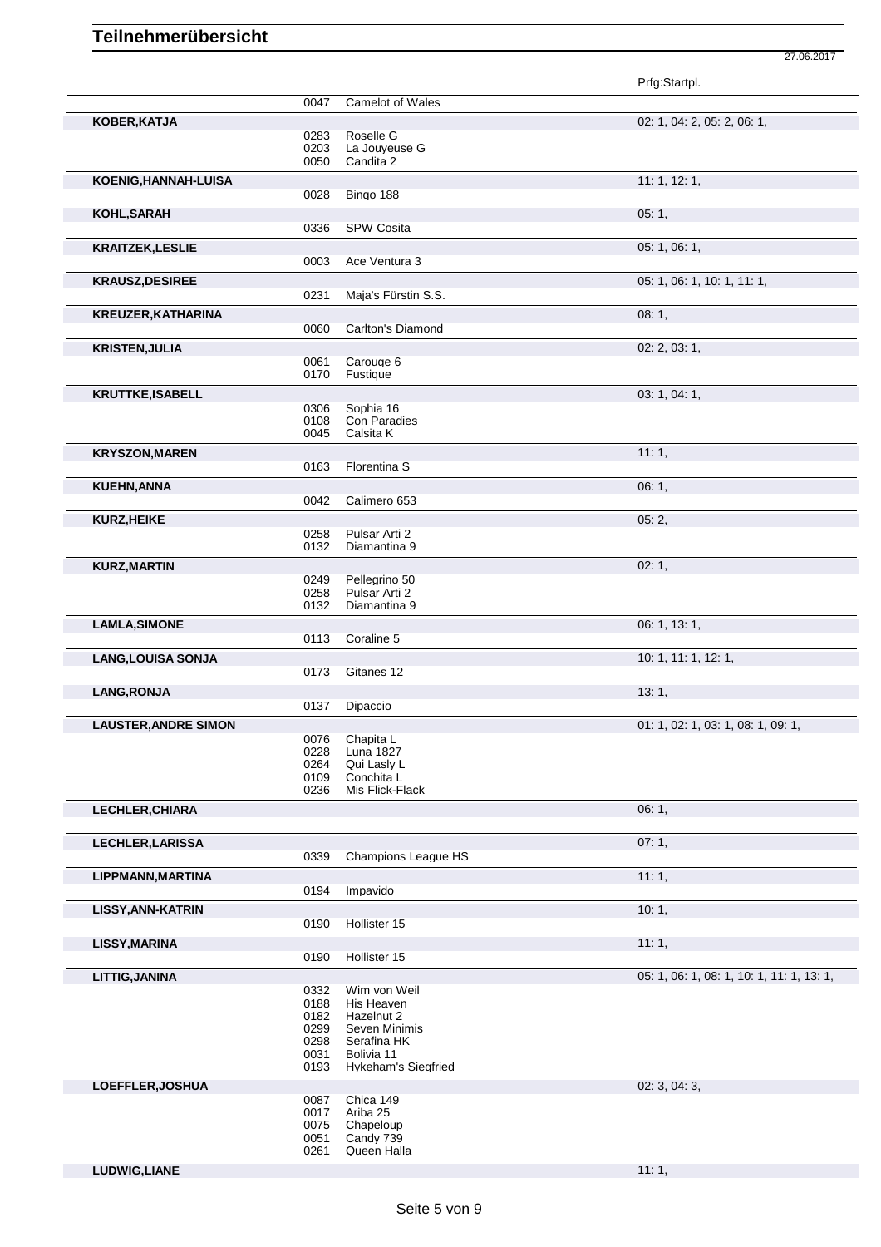Prfg:Startpl. 0047 Camelot of Wales **KOBER,KATJA** 02: 1, 04: 2, 05: 2, 06: 1, 0283 Roselle G<br>0203 La Jouyeu 0203 La Jouyeuse G<br>0050 Candita 2 Candita 2 **KOENIG,HANNAH-LUISA** 11: 1, 12: 1, 0028 Bingo 188 **KOHL,SARAH 05: 1, 2008 1, 2009 1, 2009 1, 2009 1, 2009 1, 2009 1, 2009 1, 2009 1, 2009 1, 2009 1, 2009 1, 2009 1** 0336 SPW Cosita **KRAITZEK, LESLIE** 0003 Ace Ventura 3 05: 1, 06: 1, 06: 1, 06: 1, 06: 1, 06: 1, 06: 1, 06: 1, 06: 1, 06: 1, 06: 1, 06: 1, 06: 1, 06: 1, 06: 1, 06: 1, 06: 1, 06: 1, 06: 1, 06: 1, 06: 1, 06: 1, 06: 1, 06: 1, 06: 1, 06: 1, 06 Ace Ventura 3 **KRAUSZ,DESIREE** 05: 1, 06: 1, 10: 1, 11: 1, 0231 Maja's Fürstin S.S. **KREUZER,KATHARINA** 08: 1, 0060 Carlton's Diamond **KRISTEN, JULIA** 02: 2, 03: 1, 02: 2, 03: 1, 02: 2, 03: 1, 02: 2, 03: 1, 02: 2, 03: 1, 02: 2, 03: 1, 02: 2, 03: 1, 02: 2, 03: 1, 02: 2, 03: 1, 02: 2, 03: 1, 02: 2, 03: 1, 02: 2, 03: 1, 02: 2, 03: 1, 02: 2, 03: 1, 02: 2, 03 0061 Carouge 6<br>0170 Fustique Eustique **KRUTTKE,ISABELL** 03: 1, 04: 1, 0306 Sophia 16<br>0108 Con Parac 0108 Con Paradies<br>0045 Calsita K Calsita K **KRYSZON,MAREN** 11: 1, 0163 Florentina S Florentina S **KUEHN,ANNA** 06: 1, 0042 Calimero 653 **KURZ.HEIKE** 05: 2, 0258 Pulsar Arti 2<br>0132 Diamantina 9 Diamantina 9 **KURZ,MARTIN** 02: 1, 0249 Pellegrino 50<br>0258 Pulsar Arti 2 0258 Pulsar Arti 2<br>0132 Diamantina 9 Diamantina 9 **LAMLA,SIMONE** 06: 1, 13: 1, 0113 Coraline 5 **LANG,LOUISA SONJA** 10: 1, 11: 1, 12: 1, 12: 1, 10: 1, 11: 1, 12: 1, 10: 1, 11: 1, 12: 1, Gitanes 12 **LANG,RONJA** 13: 1, Dipaccio **LAUSTER, ANDRE SIMON** 0076 Chapita L<br>
0076 Chapita L 0076 Chapita L<br>0228 Luna 182 0228 Luna 1827<br>0264 Qui Lasly I 0264 Qui Lasly L<br>0109 Conchita L 0109 Conchita L<br>0236 Mis Flick-F 0236 Mis Flick-Flack **LECHLER,CHIARA** 06: 1, **LECHLER, LARISSA** 07: 1, 0339 Champions League HS Champions League HS **LIPPMANN,MARTINA** 11: 1, 0194 Impavido Impavido **LISSY,ANN-KATRIN** 10: 1, 20190 Hollister 15 Hollister 15 **LISSY, MARINA** 11: 1, 20190 Hollister 15 Hollister 15 **LITTIG,JANINA** 05: 1, 06: 1, 06: 1, 06: 1, 06: 1, 06: 1, 10: 1, 11: 1, 13: 1, 0332 Wim von Weil 0188 His Heaven 0182 Hazelnut 2<br>0299 Seven Min 0299 Seven Minimis<br>0298 Serafina HK Serafina HK 0031 Bolivia 11<br>0193 Hykeham' Hykeham's Siegfried **LOEFFLER,JOSHUA** 02: 3, 04: 3, 0087 Chica 149<br>0017 Ariba 25 0017 Ariba 25<br>0075 Chapelou 0075 Chapeloup<br>0051 Candy 739 0051 Candy 739<br>0261 Queen Hall

**LUDWIG,LIANE** 11: 1,

27.06.2017

Queen Halla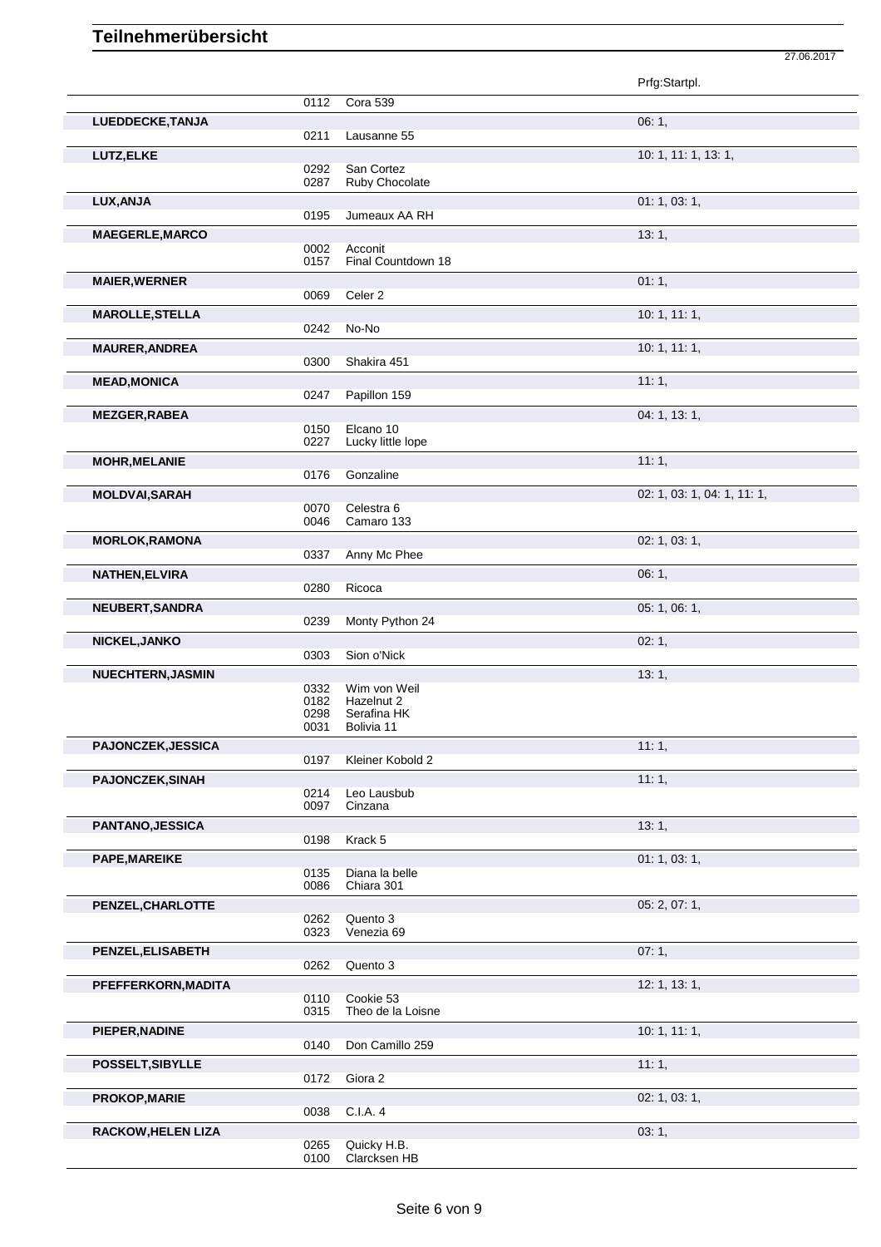|                           |              |                           | Prfg:Startpl.               |
|---------------------------|--------------|---------------------------|-----------------------------|
|                           | 0112         | Cora 539                  |                             |
| LUEDDECKE, TANJA          |              |                           | 06:1,                       |
|                           | 0211         | Lausanne 55               |                             |
| LUTZ, ELKE                |              |                           | 10: 1, 11: 1, 13: 1,        |
|                           | 0292         | San Cortez                |                             |
|                           | 0287         | Ruby Chocolate            |                             |
| LUX, ANJA                 |              |                           | 01: 1, 03: 1,               |
|                           | 0195         | Jumeaux AA RH             |                             |
| <b>MAEGERLE, MARCO</b>    |              |                           | 13:1,                       |
|                           | 0002         | Acconit                   |                             |
|                           | 0157         | Final Countdown 18        |                             |
| <b>MAIER, WERNER</b>      |              |                           | 01:1,                       |
|                           | 0069         | Celer <sub>2</sub>        |                             |
| <b>MAROLLE, STELLA</b>    |              |                           | 10: 1, 11: 1,               |
|                           | 0242         | No-No                     |                             |
| <b>MAURER, ANDREA</b>     |              |                           | 10: 1, 11: 1,               |
|                           | 0300         | Shakira 451               |                             |
| <b>MEAD, MONICA</b>       |              | Papillon 159              | 11:1,                       |
|                           | 0247         |                           |                             |
| <b>MEZGER, RABEA</b>      |              | Elcano 10                 | 04: 1, 13: 1,               |
|                           | 0150<br>0227 | Lucky little lope         |                             |
| <b>MOHR, MELANIE</b>      |              |                           | 11:1,                       |
|                           | 0176         | Gonzaline                 |                             |
| <b>MOLDVAI, SARAH</b>     |              |                           | 02: 1, 03: 1, 04: 1, 11: 1, |
|                           | 0070         | Celestra 6                |                             |
|                           | 0046         | Camaro 133                |                             |
| <b>MORLOK, RAMONA</b>     |              |                           | 02: 1, 03: 1,               |
|                           | 0337         | Anny Mc Phee              |                             |
| <b>NATHEN, ELVIRA</b>     |              |                           | 06:1,                       |
|                           | 0280         | Ricoca                    |                             |
| NEUBERT, SANDRA           |              |                           | 05: 1, 06: 1,               |
|                           | 0239         | Monty Python 24           |                             |
| NICKEL, JANKO             |              |                           | 02:1,                       |
|                           | 0303         | Sion o'Nick               |                             |
| NUECHTERN, JASMIN         |              |                           | 13:1,                       |
|                           | 0332         | Wim von Weil              |                             |
|                           | 0182<br>0298 | Hazelnut 2<br>Serafina HK |                             |
|                           | 0031         | Bolivia 11                |                             |
| PAJONCZEK, JESSICA        |              |                           | 11:1,                       |
|                           | 0197         | Kleiner Kobold 2          |                             |
| <b>PAJONCZEK, SINAH</b>   |              |                           | 11:1,                       |
|                           | 0214         | Leo Lausbub               |                             |
|                           | 0097         | Cinzana                   |                             |
| PANTANO, JESSICA          |              |                           | 13:1,                       |
|                           | 0198         | Krack 5                   |                             |
| <b>PAPE, MAREIKE</b>      |              |                           | 01: 1, 03: 1,               |
|                           | 0135         | Diana la belle            |                             |
|                           | 0086         | Chiara 301                |                             |
| PENZEL, CHARLOTTE         | 0262         | Quento 3                  | 05: 2, 07: 1,               |
|                           | 0323         | Venezia 69                |                             |
| PENZEL, ELISABETH         |              |                           | 07:1,                       |
|                           | 0262         | Quento 3                  |                             |
| PFEFFERKORN, MADITA       |              |                           | 12: 1, 13: 1,               |
|                           | 0110         | Cookie 53                 |                             |
|                           | 0315         | Theo de la Loisne         |                             |
| PIEPER, NADINE            |              |                           | 10: 1, 11: 1,               |
|                           | 0140         | Don Camillo 259           |                             |
| POSSELT, SIBYLLE          |              |                           | 11:1,                       |
|                           | 0172         | Giora 2                   |                             |
| <b>PROKOP, MARIE</b>      |              |                           | 02: 1, 03: 1,               |
|                           | 0038         | C.I.A. 4                  |                             |
| <b>RACKOW, HELEN LIZA</b> |              |                           | 03:1,                       |
|                           | 0265         | Quicky H.B.               |                             |
|                           | 0100         | Clarcksen HB              |                             |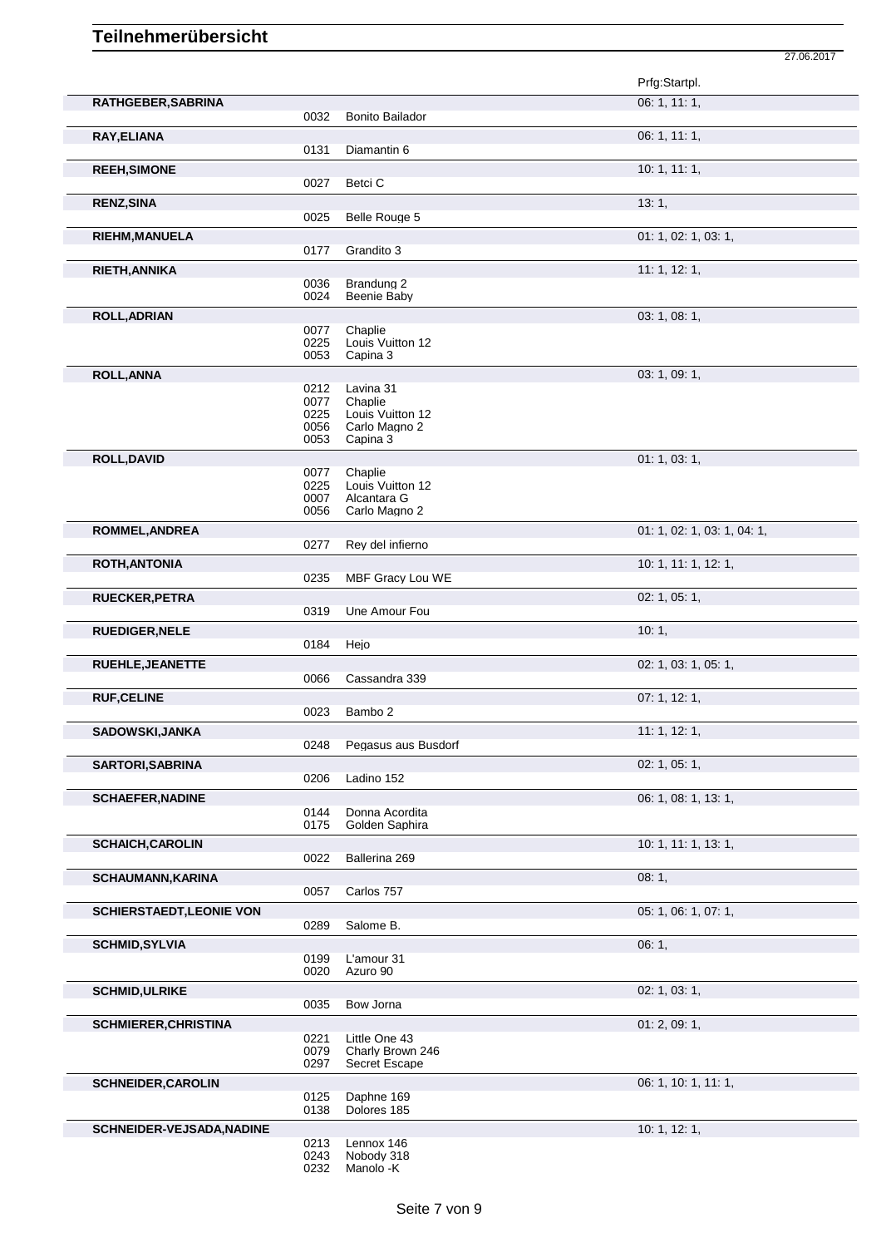|                                 |              |                                   | Prfg:Startpl.               |
|---------------------------------|--------------|-----------------------------------|-----------------------------|
| RATHGEBER, SABRINA              | 0032         | <b>Bonito Bailador</b>            | 06:1, 11:1,                 |
| RAY, ELIANA                     |              |                                   | 06: 1, 11: 1,               |
|                                 | 0131         | Diamantin 6                       |                             |
| <b>REEH, SIMONE</b>             |              |                                   | 10: 1, 11: 1,               |
|                                 | 0027         | Betci C                           |                             |
| <b>RENZ, SINA</b>               |              |                                   | 13:1,                       |
|                                 | 0025         | Belle Rouge 5                     |                             |
| <b>RIEHM, MANUELA</b>           |              |                                   | 01: 1, 02: 1, 03: 1,        |
|                                 | 0177         | Grandito 3                        |                             |
| <b>RIETH, ANNIKA</b>            |              |                                   | 11: 1, 12: 1,               |
|                                 | 0036         | Brandung 2                        |                             |
|                                 | 0024         | Beenie Baby                       |                             |
| <b>ROLL, ADRIAN</b>             |              |                                   | 03: 1, 08: 1,               |
|                                 | 0077<br>0225 | Chaplie<br>Louis Vuitton 12       |                             |
|                                 | 0053         | Capina 3                          |                             |
| <b>ROLL, ANNA</b>               |              |                                   | 03: 1, 09: 1,               |
|                                 | 0212         | Lavina 31                         |                             |
|                                 | 0077         | Chaplie                           |                             |
|                                 | 0225<br>0056 | Louis Vuitton 12<br>Carlo Magno 2 |                             |
|                                 | 0053         | Capina 3                          |                             |
| <b>ROLL, DAVID</b>              |              |                                   | 01: 1, 03: 1,               |
|                                 | 0077         | Chaplie                           |                             |
|                                 | 0225         | Louis Vuitton 12                  |                             |
|                                 | 0007<br>0056 | Alcantara G<br>Carlo Magno 2      |                             |
| <b>ROMMEL, ANDREA</b>           |              |                                   | 01: 1, 02: 1, 03: 1, 04: 1, |
|                                 | 0277         | Rey del infierno                  |                             |
| <b>ROTH, ANTONIA</b>            |              |                                   | 10: 1, 11: 1, 12: 1,        |
|                                 | 0235         | MBF Gracy Lou WE                  |                             |
| <b>RUECKER, PETRA</b>           |              |                                   | 02: 1, 05: 1,               |
|                                 | 0319         | Une Amour Fou                     |                             |
| <b>RUEDIGER, NELE</b>           |              |                                   | 10:1,                       |
|                                 | 0184         | Hejo                              |                             |
| RUEHLE, JEANETTE                |              |                                   | 02: 1, 03: 1, 05: 1,        |
|                                 | 0066         | Cassandra 339                     |                             |
| <b>RUF, CELINE</b>              |              |                                   | 07: 1, 12: 1,               |
|                                 | 0023         | Bambo 2                           |                             |
| SADOWSKI, JANKA                 |              |                                   | 11: 1, 12: 1,               |
|                                 | 0248         | Pegasus aus Busdorf               |                             |
| SARTORI, SABRINA                |              |                                   | 02: 1, 05: 1,               |
|                                 | 0206         | Ladino 152                        |                             |
| <b>SCHAEFER, NADINE</b>         |              |                                   | 06: 1, 08: 1, 13: 1,        |
|                                 | 0144         | Donna Acordita                    |                             |
|                                 | 0175         | Golden Saphira                    |                             |
| <b>SCHAICH, CAROLIN</b>         |              |                                   | 10: 1, 11: 1, 13: 1,        |
|                                 | 0022         | Ballerina 269                     |                             |
| <b>SCHAUMANN, KARINA</b>        |              |                                   | 08:1,                       |
|                                 | 0057         | Carlos 757                        |                             |
| <b>SCHIERSTAEDT, LEONIE VON</b> |              |                                   | 05: 1, 06: 1, 07: 1,        |
|                                 | 0289         | Salome B.                         |                             |
| <b>SCHMID, SYLVIA</b>           |              |                                   | 06:1,                       |
|                                 | 0199<br>0020 | L'amour 31<br>Azuro 90            |                             |
|                                 |              |                                   |                             |
| <b>SCHMID, ULRIKE</b>           | 0035         | Bow Jorna                         | 02: 1, 03: 1,               |
|                                 |              |                                   |                             |
| <b>SCHMIERER, CHRISTINA</b>     |              |                                   | 01: 2, 09: 1,               |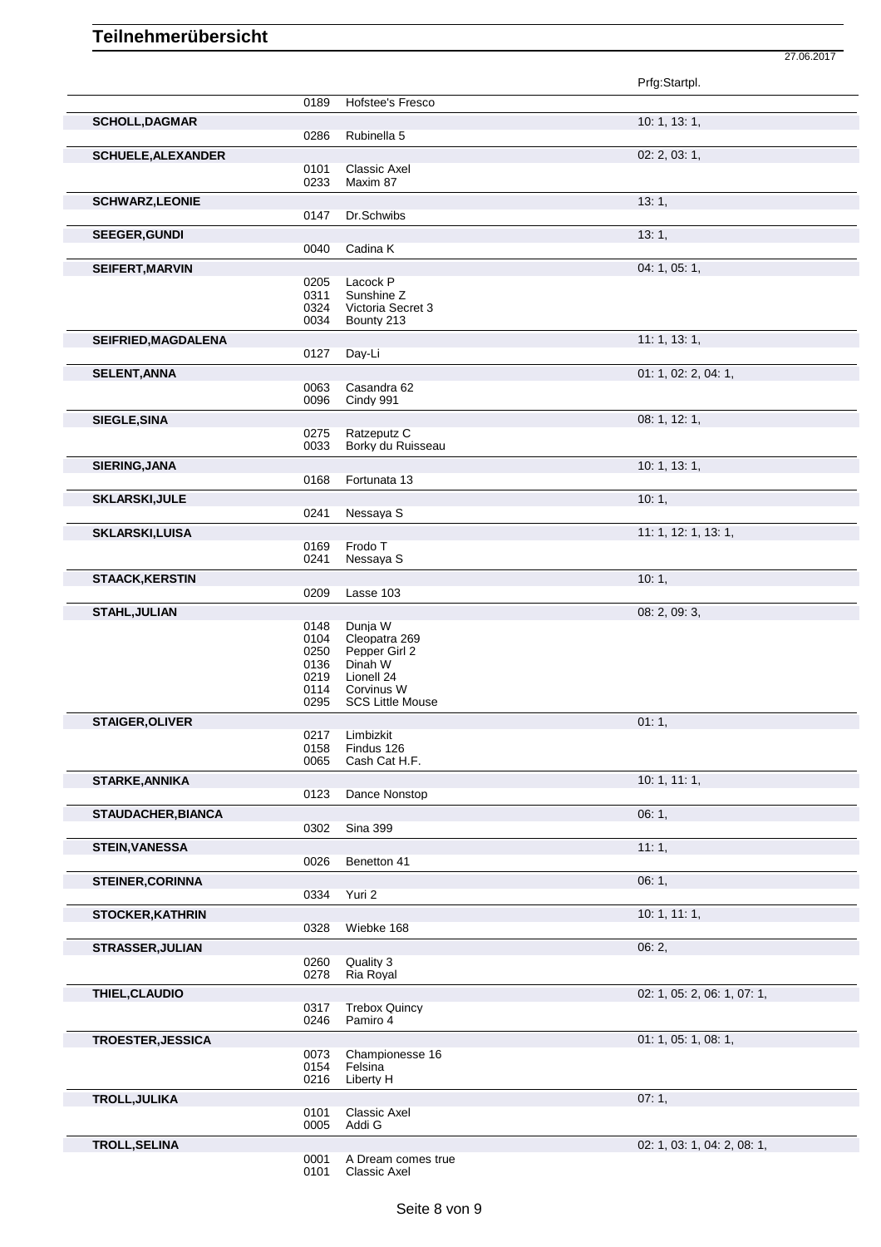|                           |                                                                                                                                          |                         | Prfg:Startpl.               |
|---------------------------|------------------------------------------------------------------------------------------------------------------------------------------|-------------------------|-----------------------------|
|                           | 0189                                                                                                                                     | Hofstee's Fresco        |                             |
| <b>SCHOLL, DAGMAR</b>     |                                                                                                                                          |                         | 10: 1, 13: 1,               |
|                           | 0286<br>Rubinella 5                                                                                                                      |                         |                             |
| <b>SCHUELE, ALEXANDER</b> |                                                                                                                                          |                         | 02: 2, 03: 1,               |
|                           | Classic Axel<br>0101<br>0233<br>Maxim 87                                                                                                 |                         |                             |
| <b>SCHWARZ, LEONIE</b>    |                                                                                                                                          |                         | 13:1,                       |
|                           | Dr.Schwibs<br>0147                                                                                                                       |                         |                             |
| <b>SEEGER, GUNDI</b>      |                                                                                                                                          |                         | 13:1,                       |
|                           | Cadina K<br>0040                                                                                                                         |                         |                             |
| SEIFERT, MARVIN           |                                                                                                                                          |                         | 04: 1, 05: 1,               |
|                           | Lacock P<br>0205                                                                                                                         |                         |                             |
|                           | 0311<br>Sunshine Z<br>0324<br>0034<br>Bounty 213                                                                                         | Victoria Secret 3       |                             |
| SEIFRIED, MAGDALENA       |                                                                                                                                          |                         | 11: 1, 13: 1,               |
|                           | Day-Li<br>0127                                                                                                                           |                         |                             |
|                           |                                                                                                                                          |                         |                             |
| <b>SELENT, ANNA</b>       | 0063<br>Casandra 62                                                                                                                      |                         | 01: 1, 02: 2, 04: 1,        |
|                           | 0096<br>Cindy 991                                                                                                                        |                         |                             |
| <b>SIEGLE, SINA</b>       |                                                                                                                                          |                         | 08: 1, 12: 1,               |
|                           | Ratzeputz C<br>0275<br>0033                                                                                                              | Borky du Ruisseau       |                             |
| SIERING, JANA             |                                                                                                                                          |                         | 10:1, 13:1,                 |
|                           | Fortunata 13<br>0168                                                                                                                     |                         |                             |
| <b>SKLARSKI, JULE</b>     |                                                                                                                                          |                         | 10:1,                       |
|                           | Nessaya S<br>0241                                                                                                                        |                         |                             |
| <b>SKLARSKI,LUISA</b>     |                                                                                                                                          |                         | 11: 1, 12: 1, 13: 1,        |
|                           | Frodo T<br>0169                                                                                                                          |                         |                             |
|                           | 0241<br>Nessaya S                                                                                                                        |                         |                             |
| <b>STAACK, KERSTIN</b>    |                                                                                                                                          |                         | 10:1,                       |
|                           | 0209<br>Lasse 103                                                                                                                        |                         |                             |
| <b>STAHL, JULIAN</b>      |                                                                                                                                          |                         | 08: 2, 09: 3,               |
|                           | 0148<br>Dunja W<br>0104<br>Cleopatra 269<br>0250<br>Pepper Girl 2<br>0136<br>Dinah W<br>0219<br>Lionell 24<br>0114<br>Corvinus W<br>0295 | <b>SCS Little Mouse</b> |                             |
| <b>STAIGER, OLIVER</b>    |                                                                                                                                          |                         | 01:1,                       |
|                           | 0217<br>Limbizkit<br>0158<br>Findus 126<br>0065<br>Cash Cat H.F.                                                                         |                         |                             |
| <b>STARKE, ANNIKA</b>     |                                                                                                                                          |                         | 10: 1, 11: 1,               |
|                           | 0123                                                                                                                                     | Dance Nonstop           |                             |
| <b>STAUDACHER, BIANCA</b> |                                                                                                                                          |                         | 06:1,                       |
|                           | 0302<br><b>Sina 399</b>                                                                                                                  |                         |                             |
| <b>STEIN, VANESSA</b>     |                                                                                                                                          |                         | 11:1,                       |
|                           | 0026<br>Benetton 41                                                                                                                      |                         |                             |
| <b>STEINER, CORINNA</b>   |                                                                                                                                          |                         | 06:1,                       |
|                           | 0334<br>Yuri 2                                                                                                                           |                         |                             |
| <b>STOCKER, KATHRIN</b>   |                                                                                                                                          |                         | 10: 1, 11: 1,               |
|                           | 0328<br>Wiebke 168                                                                                                                       |                         |                             |
| <b>STRASSER, JULIAN</b>   |                                                                                                                                          |                         | 06:2,                       |
|                           | Quality 3<br>0260                                                                                                                        |                         |                             |
|                           | 0278<br>Ria Royal                                                                                                                        |                         |                             |
| THIEL, CLAUDIO            |                                                                                                                                          |                         | 02: 1, 05: 2, 06: 1, 07: 1, |
|                           | 0317                                                                                                                                     | <b>Trebox Quincy</b>    |                             |
|                           | 0246<br>Pamiro 4                                                                                                                         |                         |                             |
| <b>TROESTER, JESSICA</b>  |                                                                                                                                          |                         | 01: 1, 05: 1, 08: 1,        |
|                           | 0073                                                                                                                                     | Championesse 16         |                             |
|                           | 0154<br>Felsina<br>0216<br>Liberty H                                                                                                     |                         |                             |
|                           |                                                                                                                                          |                         |                             |
| TROLL, JULIKA             | <b>Classic Axel</b><br>0101                                                                                                              |                         | 07:1,                       |
|                           | 0005<br>Addi G                                                                                                                           |                         |                             |
| <b>TROLL, SELINA</b>      |                                                                                                                                          |                         | 02: 1, 03: 1, 04: 2, 08: 1, |
|                           |                                                                                                                                          |                         |                             |

27.06.2017

 A Dream comes true Classic Axel